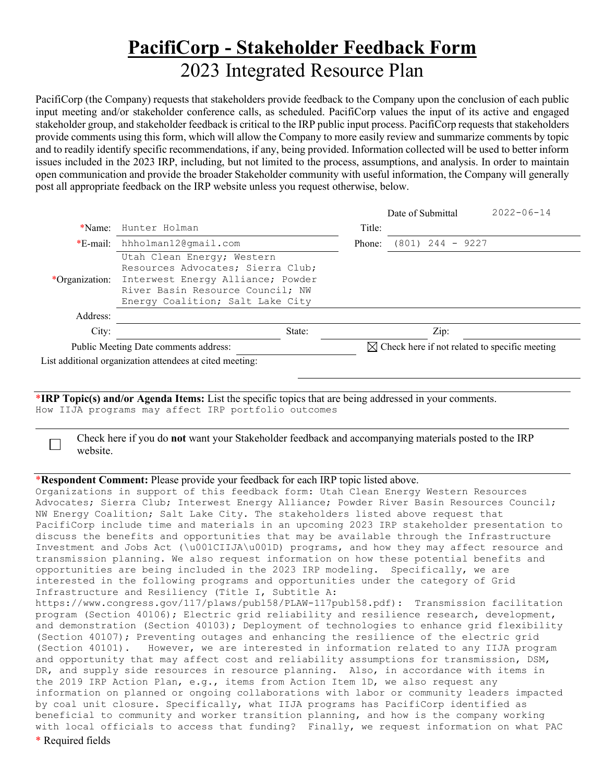## **PacifiCorp - Stakeholder Feedback Form** 2023 Integrated Resource Plan

PacifiCorp (the Company) requests that stakeholders provide feedback to the Company upon the conclusion of each public input meeting and/or stakeholder conference calls, as scheduled. PacifiCorp values the input of its active and engaged stakeholder group, and stakeholder feedback is critical to the IRP public input process. PacifiCorp requests that stakeholders provide comments using this form, which will allow the Company to more easily review and summarize comments by topic and to readily identify specific recommendations, if any, being provided. Information collected will be used to better inform issues included in the 2023 IRP, including, but not limited to the process, assumptions, and analysis. In order to maintain open communication and provide the broader Stakeholder community with useful information, the Company will generally post all appropriate feedback on the IRP website unless you request otherwise, below.

|                                       |                                                                                                                                                                              |                                                           | Date of Submittal  | $2022 - 06 - 14$ |
|---------------------------------------|------------------------------------------------------------------------------------------------------------------------------------------------------------------------------|-----------------------------------------------------------|--------------------|------------------|
| $*$ Name:                             | Hunter Holman                                                                                                                                                                | Title:                                                    |                    |                  |
| *E-mail:                              | hhholman12@qmail.com                                                                                                                                                         | Phone:                                                    | $(801)$ 244 - 9227 |                  |
| *Organization:                        | Utah Clean Energy; Western<br>Resources Advocates; Sierra Club;<br>Interwest Energy Alliance; Powder<br>River Basin Resource Council; NW<br>Energy Coalition; Salt Lake City |                                                           |                    |                  |
| Address:                              |                                                                                                                                                                              |                                                           |                    |                  |
| City:                                 | State:                                                                                                                                                                       |                                                           | Zip:               |                  |
| Public Meeting Date comments address: |                                                                                                                                                                              | $\boxtimes$ Check here if not related to specific meeting |                    |                  |
|                                       | List additional organization attendees at cited meeting:                                                                                                                     |                                                           |                    |                  |

\***IRP Topic(s) and/or Agenda Items:** List the specific topics that are being addressed in your comments. How IIJA programs may affect IRP portfolio outcomes

 Check here if you do **not** want your Stakeholder feedback and accompanying materials posted to the IRP website.

## \***Respondent Comment:** Please provide your feedback for each IRP topic listed above.

Organizations in support of this feedback form: Utah Clean Energy Western Resources Advocates; Sierra Club; Interwest Energy Alliance; Powder River Basin Resources Council; NW Energy Coalition; Salt Lake City. The stakeholders listed above request that PacifiCorp include time and materials in an upcoming 2023 IRP stakeholder presentation to discuss the benefits and opportunities that may be available through the Infrastructure Investment and Jobs Act (\u001CIIJA\u001D) programs, and how they may affect resource and transmission planning. We also request information on how these potential benefits and opportunities are being included in the 2023 IRP modeling. Specifically, we are interested in the following programs and opportunities under the category of Grid Infrastructure and Resiliency (Title I, Subtitle A: https://www.congress.gov/117/plaws/publ58/PLAW-117publ58.pdf): Transmission facilitation program (Section 40106); Electric grid reliability and resilience research, development, and demonstration (Section 40103); Deployment of technologies to enhance grid flexibility (Section 40107); Preventing outages and enhancing the resilience of the electric grid (Section 40101). However, we are interested in information related to any IIJA program and opportunity that may affect cost and reliability assumptions for transmission, DSM, DR, and supply side resources in resource planning. Also, in accordance with items in the 2019 IRP Action Plan, e.g., items from Action Item 1D, we also request any information on planned or ongoing collaborations with labor or community leaders impacted

by coal unit closure. Specifically, what IIJA programs has PacifiCorp identified as beneficial to community and worker transition planning, and how is the company working with local officials to access that funding? Finally, we request information on what PAC

\* Required fields